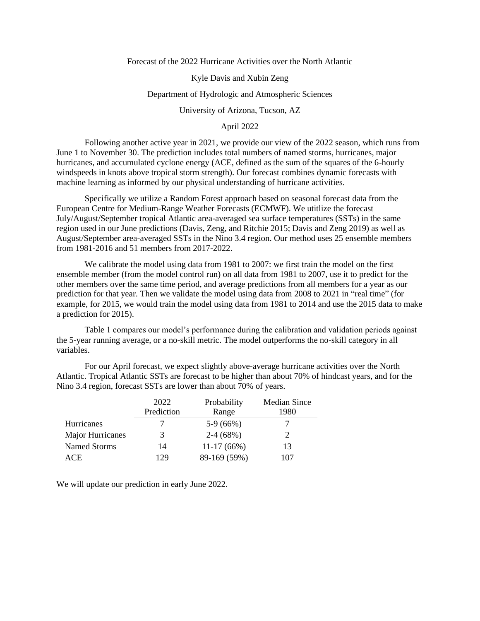Forecast of the 2022 Hurricane Activities over the North Atlantic

Kyle Davis and Xubin Zeng

## Department of Hydrologic and Atmospheric Sciences

University of Arizona, Tucson, AZ

## April 2022

Following another active year in 2021, we provide our view of the 2022 season, which runs from June 1 to November 30. The prediction includes total numbers of named storms, hurricanes, major hurricanes, and accumulated cyclone energy (ACE, defined as the sum of the squares of the 6-hourly windspeeds in knots above tropical storm strength). Our forecast combines dynamic forecasts with machine learning as informed by our physical understanding of hurricane activities.

Specifically we utilize a Random Forest approach based on seasonal forecast data from the European Centre for Medium-Range Weather Forecasts (ECMWF). We utitlize the forecast July/August/September tropical Atlantic area-averaged sea surface temperatures (SSTs) in the same region used in our June predictions (Davis, Zeng, and Ritchie 2015; Davis and Zeng 2019) as well as August/September area-averaged SSTs in the Nino 3.4 region. Our method uses 25 ensemble members from 1981-2016 and 51 members from 2017-2022.

We calibrate the model using data from 1981 to 2007: we first train the model on the first ensemble member (from the model control run) on all data from 1981 to 2007, use it to predict for the other members over the same time period, and average predictions from all members for a year as our prediction for that year. Then we validate the model using data from 2008 to 2021 in "real time" (for example, for 2015, we would train the model using data from 1981 to 2014 and use the 2015 data to make a prediction for 2015).

Table 1 compares our model's performance during the calibration and validation periods against the 5-year running average, or a no-skill metric. The model outperforms the no-skill category in all variables.

For our April forecast, we expect slightly above-average hurricane activities over the North Atlantic. Tropical Atlantic SSTs are forecast to be higher than about 70% of hindcast years, and for the Nino 3.4 region, forecast SSTs are lower than about 70% of years.

|                  | 2022       | Probability  | <b>Median Since</b> |
|------------------|------------|--------------|---------------------|
|                  | Prediction | Range        | 1980                |
| Hurricanes       |            | $5-9(66%)$   |                     |
| Major Hurricanes | 3          | $2-4(68%)$   |                     |
| Named Storms     | 14         | $11-17(66%)$ | 13                  |
| ACE              | 129        | 89-169 (59%) | 107                 |

We will update our prediction in early June 2022.